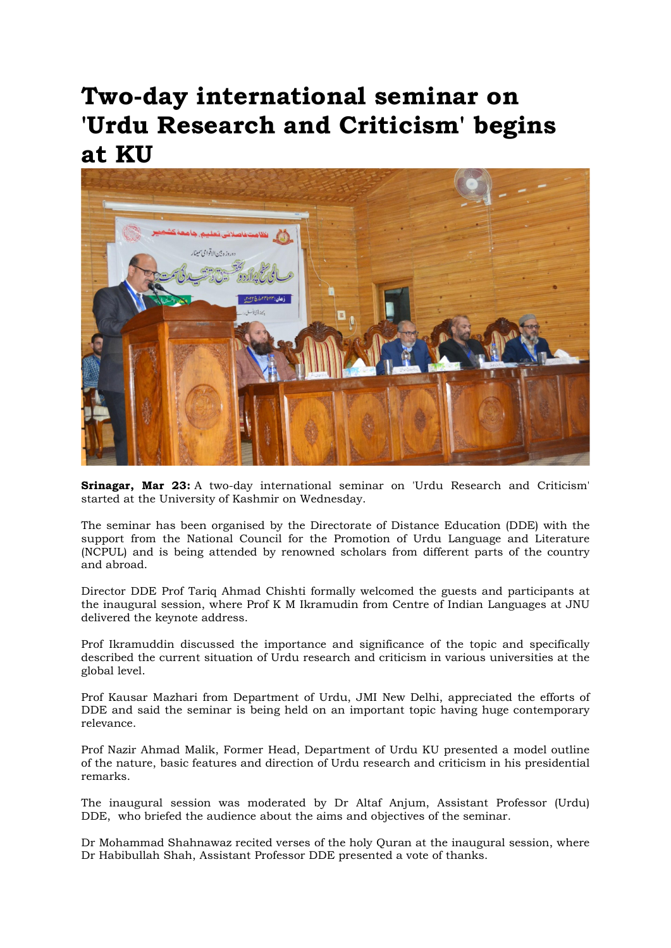## Two-day international seminar on 'Urdu Research and Criticism' begins at KU



Srinagar, Mar 23: A two-day international seminar on 'Urdu Research and Criticism' started at the University of Kashmir on Wednesday.

The seminar has been organised by the Directorate of Distance Education (DDE) with the support from the National Council for the Promotion of Urdu Language and Literature (NCPUL) and is being attended by renowned scholars from different parts of the country and abroad.

Director DDE Prof Tariq Ahmad Chishti formally welcomed the guests and participants at the inaugural session, where Prof K M Ikramudin from Centre of Indian Languages at JNU delivered the keynote address.

Prof Ikramuddin discussed the importance and significance of the topic and specifically described the current situation of Urdu research and criticism in various universities at the global level.

Prof Kausar Mazhari from Department of Urdu, JMI New Delhi, appreciated the efforts of DDE and said the seminar is being held on an important topic having huge contemporary relevance.

Prof Nazir Ahmad Malik, Former Head, Department of Urdu KU presented a model outline of the nature, basic features and direction of Urdu research and criticism in his presidential remarks.

The inaugural session was moderated by Dr Altaf Anjum, Assistant Professor (Urdu) DDE, who briefed the audience about the aims and objectives of the seminar.

Dr Mohammad Shahnawaz recited verses of the holy Quran at the inaugural session, where Dr Habibullah Shah, Assistant Professor DDE presented a vote of thanks.